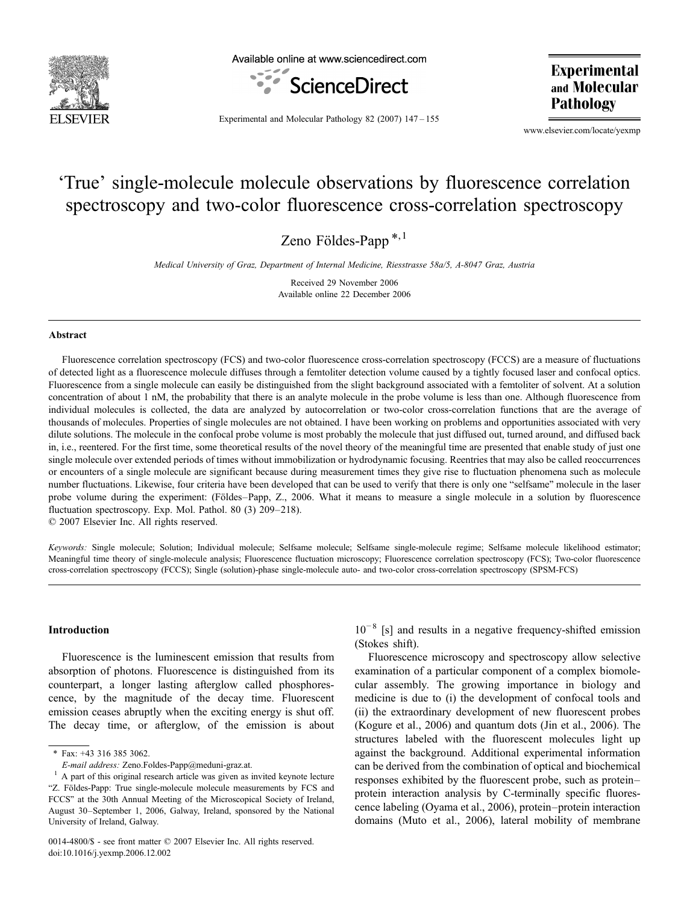

Available online at www.sciencedirect.com



**Experimental** and Molecular **Pathology** 

Experimental and Molecular Pathology 82 (2007) 147–155

www.elsevier.com/locate/yexmp

# 'True' single-molecule molecule observations by fluorescence correlation spectroscopy and two-color fluorescence cross-correlation spectroscopy

Zeno Földes-Papp $^{*,1}$ 

Medical University of Graz, Department of Internal Medicine, Riesstrasse 58a/5, A-8047 Graz, Austria

Received 29 November 2006 Available online 22 December 2006

#### Abstract

Fluorescence correlation spectroscopy (FCS) and two-color fluorescence cross-correlation spectroscopy (FCCS) are a measure of fluctuations of detected light as a fluorescence molecule diffuses through a femtoliter detection volume caused by a tightly focused laser and confocal optics. Fluorescence from a single molecule can easily be distinguished from the slight background associated with a femtoliter of solvent. At a solution concentration of about 1 nM, the probability that there is an analyte molecule in the probe volume is less than one. Although fluorescence from individual molecules is collected, the data are analyzed by autocorrelation or two-color cross-correlation functions that are the average of thousands of molecules. Properties of single molecules are not obtained. I have been working on problems and opportunities associated with very dilute solutions. The molecule in the confocal probe volume is most probably the molecule that just diffused out, turned around, and diffused back in, i.e., reentered. For the first time, some theoretical results of the novel theory of the meaningful time are presented that enable study of just one single molecule over extended periods of times without immobilization or hydrodynamic focusing. Reentries that may also be called reoccurrences or encounters of a single molecule are significant because during measurement times they give rise to fluctuation phenomena such as molecule number fluctuations. Likewise, four criteria have been developed that can be used to verify that there is only one "selfsame" molecule in the laser probe volume during the experiment: (Földes–Papp, Z., 2006. What it means to measure a single molecule in a solution by fluorescence fluctuation spectroscopy. Exp. Mol. Pathol. 80 (3) 209–218).

© 2007 Elsevier Inc. All rights reserved.

Keywords: Single molecule; Solution; Individual molecule; Selfsame molecule; Selfsame single-molecule regime; Selfsame molecule likelihood estimator; Meaningful time theory of single-molecule analysis; Fluorescence fluctuation microscopy; Fluorescence correlation spectroscopy (FCS); Two-color fluorescence cross-correlation spectroscopy (FCCS); Single (solution)-phase single-molecule auto- and two-color cross-correlation spectroscopy (SPSM-FCS)

#### Introduction

Fluorescence is the luminescent emission that results from absorption of photons. Fluorescence is distinguished from its counterpart, a longer lasting afterglow called phosphorescence, by the magnitude of the decay time. Fluorescent emission ceases abruptly when the exciting energy is shut off. The decay time, or afterglow, of the emission is about  $10^{-8}$  [s] and results in a negative frequency-shifted emission (Stokes shift).

Fluorescence microscopy and spectroscopy allow selective examination of a particular component of a complex biomolecular assembly. The growing importance in biology and medicine is due to (i) the development of confocal tools and (ii) the extraordinary development of new fluorescent probes (Kogure et al., 2006) and quantum dots (Jin et al., 2006). The structures labeled with the fluorescent molecules light up against the background. Additional experimental information can be derived from the combination of optical and biochemical responses exhibited by the fluorescent probe, such as protein– protein interaction analysis by C-terminally specific fluorescence labeling (Oyama et al., 2006), protein–protein interaction domains (Muto et al., 2006), lateral mobility of membrane

<sup>⁎</sup> Fax: +43 316 385 3062.

 $E-mail address: Zeno.Folds-Papp@mediumi-graz.at.$ <sup>1</sup> A part of this original research article was given as invited keynote lecture "Z. Földes-Papp: True single-molecule molecule measurements by FCS and FCCS" at the 30th Annual Meeting of the Microscopical Society of Ireland, August 30–September 1, 2006, Galway, Ireland, sponsored by the National University of Ireland, Galway.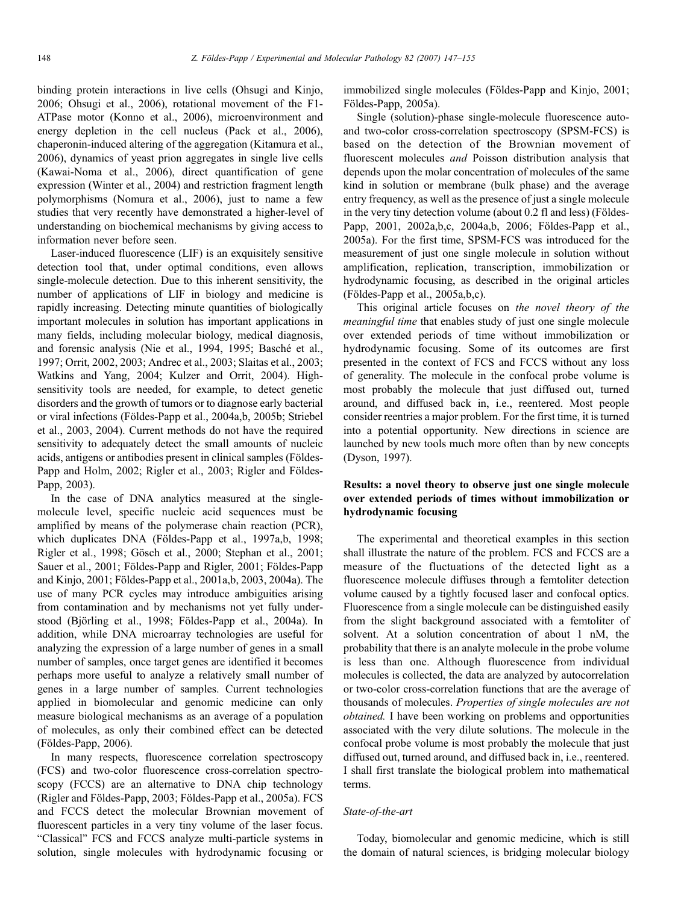binding protein interactions in live cells (Ohsugi and Kinjo, 2006; Ohsugi et al., 2006), rotational movement of the F1- ATPase motor (Konno et al., 2006), microenvironment and energy depletion in the cell nucleus (Pack et al., 2006), chaperonin-induced altering of the aggregation (Kitamura et al., 2006), dynamics of yeast prion aggregates in single live cells (Kawai-Noma et al., 2006), direct quantification of gene expression (Winter et al., 2004) and restriction fragment length polymorphisms (Nomura et al., 2006), just to name a few studies that very recently have demonstrated a higher-level of understanding on biochemical mechanisms by giving access to information never before seen.

Laser-induced fluorescence (LIF) is an exquisitely sensitive detection tool that, under optimal conditions, even allows single-molecule detection. Due to this inherent sensitivity, the number of applications of LIF in biology and medicine is rapidly increasing. Detecting minute quantities of biologically important molecules in solution has important applications in many fields, including molecular biology, medical diagnosis, and forensic analysis (Nie et al., 1994, 1995; Basché et al., 1997; Orrit, 2002, 2003; Andrec et al., 2003; Slaitas et al., 2003; Watkins and Yang, 2004; Kulzer and Orrit, 2004). Highsensitivity tools are needed, for example, to detect genetic disorders and the growth of tumors or to diagnose early bacterial or viral infections (Földes-Papp et al., 2004a,b, 2005b; Striebel et al., 2003, 2004). Current methods do not have the required sensitivity to adequately detect the small amounts of nucleic acids, antigens or antibodies present in clinical samples (Földes-Papp and Holm, 2002; Rigler et al., 2003; Rigler and Földes-Papp, 2003).

In the case of DNA analytics measured at the singlemolecule level, specific nucleic acid sequences must be amplified by means of the polymerase chain reaction (PCR), which duplicates DNA (Földes-Papp et al., 1997a,b, 1998; Rigler et al., 1998; Gösch et al., 2000; Stephan et al., 2001; Sauer et al., 2001; Földes-Papp and Rigler, 2001; Földes-Papp and Kinjo, 2001; Földes-Papp et al., 2001a,b, 2003, 2004a). The use of many PCR cycles may introduce ambiguities arising from contamination and by mechanisms not yet fully understood (Björling et al., 1998; Földes-Papp et al., 2004a). In addition, while DNA microarray technologies are useful for analyzing the expression of a large number of genes in a small number of samples, once target genes are identified it becomes perhaps more useful to analyze a relatively small number of genes in a large number of samples. Current technologies applied in biomolecular and genomic medicine can only measure biological mechanisms as an average of a population of molecules, as only their combined effect can be detected (Földes-Papp, 2006).

In many respects, fluorescence correlation spectroscopy (FCS) and two-color fluorescence cross-correlation spectroscopy (FCCS) are an alternative to DNA chip technology (Rigler and Földes-Papp, 2003; Földes-Papp et al., 2005a). FCS and FCCS detect the molecular Brownian movement of fluorescent particles in a very tiny volume of the laser focus. "Classical" FCS and FCCS analyze multi-particle systems in solution, single molecules with hydrodynamic focusing or

immobilized single molecules (Földes-Papp and Kinjo, 2001; Földes-Papp, 2005a).

Single (solution)-phase single-molecule fluorescence autoand two-color cross-correlation spectroscopy (SPSM-FCS) is based on the detection of the Brownian movement of fluorescent molecules and Poisson distribution analysis that depends upon the molar concentration of molecules of the same kind in solution or membrane (bulk phase) and the average entry frequency, as well as the presence of just a single molecule in the very tiny detection volume (about 0.2 fl and less) (Földes-Papp, 2001, 2002a,b,c, 2004a,b, 2006; Földes-Papp et al., 2005a). For the first time, SPSM-FCS was introduced for the measurement of just one single molecule in solution without amplification, replication, transcription, immobilization or hydrodynamic focusing, as described in the original articles (Földes-Papp et al., 2005a,b,c).

This original article focuses on the novel theory of the meaningful time that enables study of just one single molecule over extended periods of time without immobilization or hydrodynamic focusing. Some of its outcomes are first presented in the context of FCS and FCCS without any loss of generality. The molecule in the confocal probe volume is most probably the molecule that just diffused out, turned around, and diffused back in, i.e., reentered. Most people consider reentries a major problem. For the first time, it is turned into a potential opportunity. New directions in science are launched by new tools much more often than by new concepts (Dyson, 1997).

## Results: a novel theory to observe just one single molecule over extended periods of times without immobilization or hydrodynamic focusing

The experimental and theoretical examples in this section shall illustrate the nature of the problem. FCS and FCCS are a measure of the fluctuations of the detected light as a fluorescence molecule diffuses through a femtoliter detection volume caused by a tightly focused laser and confocal optics. Fluorescence from a single molecule can be distinguished easily from the slight background associated with a femtoliter of solvent. At a solution concentration of about 1 nM, the probability that there is an analyte molecule in the probe volume is less than one. Although fluorescence from individual molecules is collected, the data are analyzed by autocorrelation or two-color cross-correlation functions that are the average of thousands of molecules. Properties of single molecules are not obtained. I have been working on problems and opportunities associated with the very dilute solutions. The molecule in the confocal probe volume is most probably the molecule that just diffused out, turned around, and diffused back in, i.e., reentered. I shall first translate the biological problem into mathematical terms.

#### State-of-the-art

Today, biomolecular and genomic medicine, which is still the domain of natural sciences, is bridging molecular biology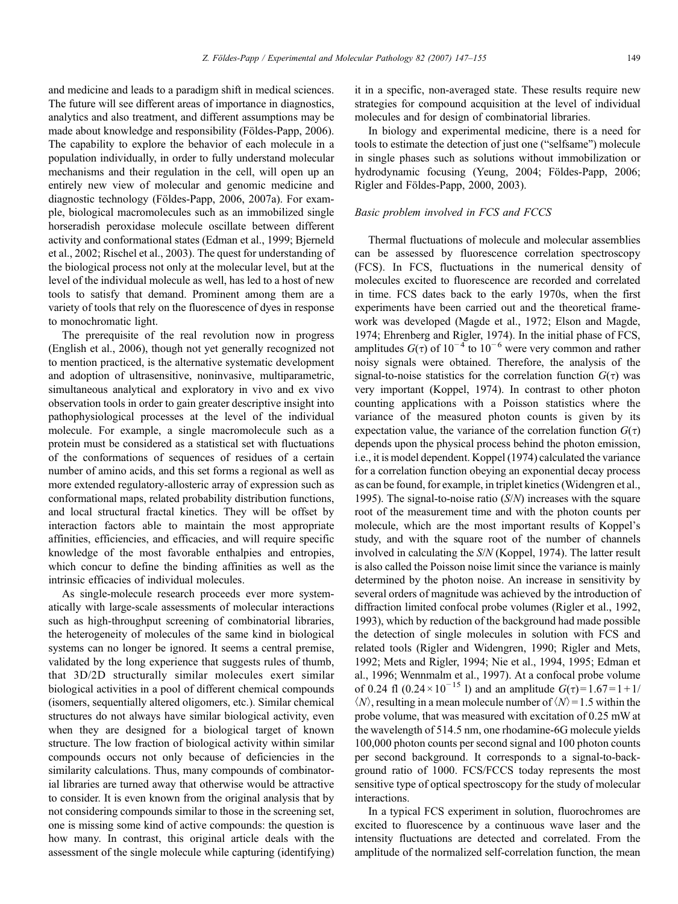and medicine and leads to a paradigm shift in medical sciences. The future will see different areas of importance in diagnostics, analytics and also treatment, and different assumptions may be made about knowledge and responsibility (Földes-Papp, 2006). The capability to explore the behavior of each molecule in a population individually, in order to fully understand molecular mechanisms and their regulation in the cell, will open up an entirely new view of molecular and genomic medicine and diagnostic technology (Földes-Papp, 2006, 2007a). For example, biological macromolecules such as an immobilized single horseradish peroxidase molecule oscillate between different activity and conformational states (Edman et al., 1999; Bjerneld et al., 2002; Rischel et al., 2003). The quest for understanding of the biological process not only at the molecular level, but at the level of the individual molecule as well, has led to a host of new tools to satisfy that demand. Prominent among them are a variety of tools that rely on the fluorescence of dyes in response to monochromatic light.

The prerequisite of the real revolution now in progress (English et al., 2006), though not yet generally recognized not to mention practiced, is the alternative systematic development and adoption of ultrasensitive, noninvasive, multiparametric, simultaneous analytical and exploratory in vivo and ex vivo observation tools in order to gain greater descriptive insight into pathophysiological processes at the level of the individual molecule. For example, a single macromolecule such as a protein must be considered as a statistical set with fluctuations of the conformations of sequences of residues of a certain number of amino acids, and this set forms a regional as well as more extended regulatory-allosteric array of expression such as conformational maps, related probability distribution functions, and local structural fractal kinetics. They will be offset by interaction factors able to maintain the most appropriate affinities, efficiencies, and efficacies, and will require specific knowledge of the most favorable enthalpies and entropies, which concur to define the binding affinities as well as the intrinsic efficacies of individual molecules.

As single-molecule research proceeds ever more systematically with large-scale assessments of molecular interactions such as high-throughput screening of combinatorial libraries, the heterogeneity of molecules of the same kind in biological systems can no longer be ignored. It seems a central premise, validated by the long experience that suggests rules of thumb, that 3D/2D structurally similar molecules exert similar biological activities in a pool of different chemical compounds (isomers, sequentially altered oligomers, etc.). Similar chemical structures do not always have similar biological activity, even when they are designed for a biological target of known structure. The low fraction of biological activity within similar compounds occurs not only because of deficiencies in the similarity calculations. Thus, many compounds of combinatorial libraries are turned away that otherwise would be attractive to consider. It is even known from the original analysis that by not considering compounds similar to those in the screening set, one is missing some kind of active compounds: the question is how many. In contrast, this original article deals with the assessment of the single molecule while capturing (identifying)

it in a specific, non-averaged state. These results require new strategies for compound acquisition at the level of individual molecules and for design of combinatorial libraries.

In biology and experimental medicine, there is a need for tools to estimate the detection of just one ("selfsame") molecule in single phases such as solutions without immobilization or hydrodynamic focusing (Yeung, 2004; Földes-Papp, 2006; Rigler and Földes-Papp, 2000, 2003).

## Basic problem involved in FCS and FCCS

Thermal fluctuations of molecule and molecular assemblies can be assessed by fluorescence correlation spectroscopy (FCS). In FCS, fluctuations in the numerical density of molecules excited to fluorescence are recorded and correlated in time. FCS dates back to the early 1970s, when the first experiments have been carried out and the theoretical framework was developed (Magde et al., 1972; Elson and Magde, 1974; Ehrenberg and Rigler, 1974). In the initial phase of FCS, amplitudes  $G(\tau)$  of 10<sup>-4</sup> to 10<sup>-6</sup> were very common and rather noisy signals were obtained. Therefore, the analysis of the signal-to-noise statistics for the correlation function  $G(\tau)$  was very important (Koppel, 1974). In contrast to other photon counting applications with a Poisson statistics where the variance of the measured photon counts is given by its expectation value, the variance of the correlation function  $G(\tau)$ depends upon the physical process behind the photon emission, i.e., it is model dependent. Koppel (1974) calculated the variance for a correlation function obeying an exponential decay process as can be found, for example, in triplet kinetics (Widengren et al., 1995). The signal-to-noise ratio (S/N) increases with the square root of the measurement time and with the photon counts per molecule, which are the most important results of Koppel's study, and with the square root of the number of channels involved in calculating the S/N (Koppel, 1974). The latter result is also called the Poisson noise limit since the variance is mainly determined by the photon noise. An increase in sensitivity by several orders of magnitude was achieved by the introduction of diffraction limited confocal probe volumes (Rigler et al., 1992, 1993), which by reduction of the background had made possible the detection of single molecules in solution with FCS and related tools (Rigler and Widengren, 1990; Rigler and Mets, 1992; Mets and Rigler, 1994; Nie et al., 1994, 1995; Edman et al., 1996; Wennmalm et al., 1997). At a confocal probe volume of 0.24 fl  $(0.24 \times 10^{-15}$  l) and an amplitude  $G(\tau) = 1.67 = 1 + 1/$  $\langle N \rangle$ , resulting in a mean molecule number of  $\langle N \rangle$  = 1.5 within the probe volume, that was measured with excitation of 0.25 mW at the wavelength of 514.5 nm, one rhodamine-6G molecule yields 100,000 photon counts per second signal and 100 photon counts per second background. It corresponds to a signal-to-background ratio of 1000. FCS/FCCS today represents the most sensitive type of optical spectroscopy for the study of molecular interactions.

In a typical FCS experiment in solution, fluorochromes are excited to fluorescence by a continuous wave laser and the intensity fluctuations are detected and correlated. From the amplitude of the normalized self-correlation function, the mean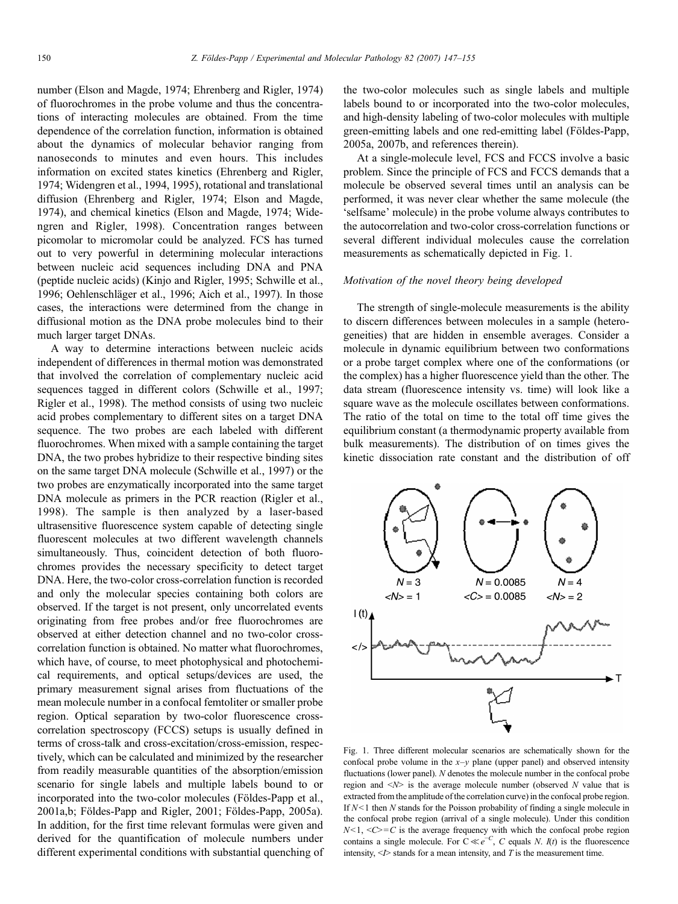number (Elson and Magde, 1974; Ehrenberg and Rigler, 1974) of fluorochromes in the probe volume and thus the concentrations of interacting molecules are obtained. From the time dependence of the correlation function, information is obtained about the dynamics of molecular behavior ranging from nanoseconds to minutes and even hours. This includes information on excited states kinetics (Ehrenberg and Rigler, 1974; Widengren et al., 1994, 1995), rotational and translational diffusion (Ehrenberg and Rigler, 1974; Elson and Magde, 1974), and chemical kinetics (Elson and Magde, 1974; Widengren and Rigler, 1998). Concentration ranges between picomolar to micromolar could be analyzed. FCS has turned out to very powerful in determining molecular interactions between nucleic acid sequences including DNA and PNA (peptide nucleic acids) (Kinjo and Rigler, 1995; Schwille et al., 1996; Oehlenschläger et al., 1996; Aich et al., 1997). In those cases, the interactions were determined from the change in diffusional motion as the DNA probe molecules bind to their much larger target DNAs.

A way to determine interactions between nucleic acids independent of differences in thermal motion was demonstrated that involved the correlation of complementary nucleic acid sequences tagged in different colors (Schwille et al., 1997; Rigler et al., 1998). The method consists of using two nucleic acid probes complementary to different sites on a target DNA sequence. The two probes are each labeled with different fluorochromes. When mixed with a sample containing the target DNA, the two probes hybridize to their respective binding sites on the same target DNA molecule (Schwille et al., 1997) or the two probes are enzymatically incorporated into the same target DNA molecule as primers in the PCR reaction (Rigler et al., 1998). The sample is then analyzed by a laser-based ultrasensitive fluorescence system capable of detecting single fluorescent molecules at two different wavelength channels simultaneously. Thus, coincident detection of both fluorochromes provides the necessary specificity to detect target DNA. Here, the two-color cross-correlation function is recorded and only the molecular species containing both colors are observed. If the target is not present, only uncorrelated events originating from free probes and/or free fluorochromes are observed at either detection channel and no two-color crosscorrelation function is obtained. No matter what fluorochromes, which have, of course, to meet photophysical and photochemical requirements, and optical setups/devices are used, the primary measurement signal arises from fluctuations of the mean molecule number in a confocal femtoliter or smaller probe region. Optical separation by two-color fluorescence crosscorrelation spectroscopy (FCCS) setups is usually defined in terms of cross-talk and cross-excitation/cross-emission, respectively, which can be calculated and minimized by the researcher from readily measurable quantities of the absorption/emission scenario for single labels and multiple labels bound to or incorporated into the two-color molecules (Földes-Papp et al., 2001a,b; Földes-Papp and Rigler, 2001; Földes-Papp, 2005a). In addition, for the first time relevant formulas were given and derived for the quantification of molecule numbers under different experimental conditions with substantial quenching of the two-color molecules such as single labels and multiple labels bound to or incorporated into the two-color molecules, and high-density labeling of two-color molecules with multiple green-emitting labels and one red-emitting label (Földes-Papp, 2005a, 2007b, and references therein).

At a single-molecule level, FCS and FCCS involve a basic problem. Since the principle of FCS and FCCS demands that a molecule be observed several times until an analysis can be performed, it was never clear whether the same molecule (the 'selfsame' molecule) in the probe volume always contributes to the autocorrelation and two-color cross-correlation functions or several different individual molecules cause the correlation measurements as schematically depicted in Fig. 1.

#### Motivation of the novel theory being developed

The strength of single-molecule measurements is the ability to discern differences between molecules in a sample (heterogeneities) that are hidden in ensemble averages. Consider a molecule in dynamic equilibrium between two conformations or a probe target complex where one of the conformations (or the complex) has a higher fluorescence yield than the other. The data stream (fluorescence intensity vs. time) will look like a square wave as the molecule oscillates between conformations. The ratio of the total on time to the total off time gives the equilibrium constant (a thermodynamic property available from bulk measurements). The distribution of on times gives the kinetic dissociation rate constant and the distribution of off



Fig. 1. Three different molecular scenarios are schematically shown for the confocal probe volume in the  $x-y$  plane (upper panel) and observed intensity fluctuations (lower panel). N denotes the molecule number in the confocal probe region and  $\langle N \rangle$  is the average molecule number (observed N value that is extracted from the amplitude of the correlation curve) in the confocal probe region. If  $N<1$  then N stands for the Poisson probability of finding a single molecule in the confocal probe region (arrival of a single molecule). Under this condition  $N<1, \leq C>=C$  is the average frequency with which the confocal probe region contains a single molecule. For  $C \ll e^{-C}$ , C equals N.  $I(t)$  is the fluorescence intensity,  $\langle I \rangle$  stands for a mean intensity, and T is the measurement time.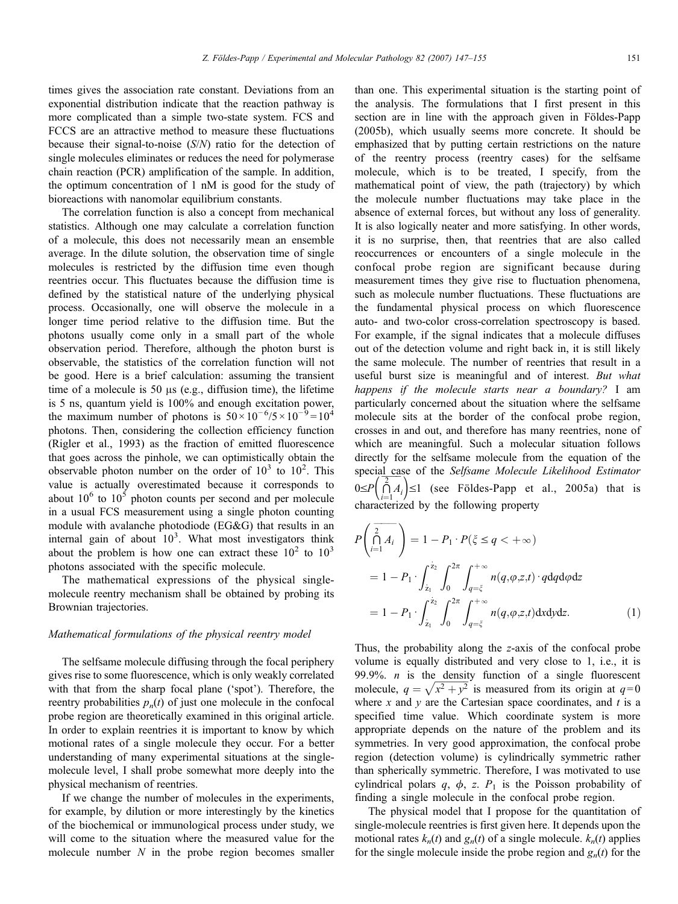times gives the association rate constant. Deviations from an exponential distribution indicate that the reaction pathway is more complicated than a simple two-state system. FCS and FCCS are an attractive method to measure these fluctuations because their signal-to-noise  $(S/N)$  ratio for the detection of single molecules eliminates or reduces the need for polymerase chain reaction (PCR) amplification of the sample. In addition, the optimum concentration of 1 nM is good for the study of bioreactions with nanomolar equilibrium constants.

The correlation function is also a concept from mechanical statistics. Although one may calculate a correlation function of a molecule, this does not necessarily mean an ensemble average. In the dilute solution, the observation time of single molecules is restricted by the diffusion time even though reentries occur. This fluctuates because the diffusion time is defined by the statistical nature of the underlying physical process. Occasionally, one will observe the molecule in a longer time period relative to the diffusion time. But the photons usually come only in a small part of the whole observation period. Therefore, although the photon burst is observable, the statistics of the correlation function will not be good. Here is a brief calculation: assuming the transient time of a molecule is 50 μs (e.g., diffusion time), the lifetime is 5 ns, quantum yield is 100% and enough excitation power, the maximum number of photons is  $50 \times 10^{-6} / 5 \times 10^{-9} = 10^4$ photons. Then, considering the collection efficiency function (Rigler et al., 1993) as the fraction of emitted fluorescence that goes across the pinhole, we can optimistically obtain the observable photon number on the order of  $10^3$  to  $10^2$ . This value is actually overestimated because it corresponds to about  $10^6$  to  $10^5$  photon counts per second and per molecule in a usual FCS measurement using a single photon counting module with avalanche photodiode (EG&G) that results in an internal gain of about  $10<sup>3</sup>$ . What most investigators think about the problem is how one can extract these  $10^2$  to  $10^3$ photons associated with the specific molecule.

The mathematical expressions of the physical singlemolecule reentry mechanism shall be obtained by probing its Brownian trajectories.

#### Mathematical formulations of the physical reentry model

The selfsame molecule diffusing through the focal periphery gives rise to some fluorescence, which is only weakly correlated with that from the sharp focal plane ('spot'). Therefore, the reentry probabilities  $p<sub>n</sub>(t)$  of just one molecule in the confocal probe region are theoretically examined in this original article. In order to explain reentries it is important to know by which motional rates of a single molecule they occur. For a better understanding of many experimental situations at the singlemolecule level, I shall probe somewhat more deeply into the physical mechanism of reentries.

If we change the number of molecules in the experiments, for example, by dilution or more interestingly by the kinetics of the biochemical or immunological process under study, we will come to the situation where the measured value for the molecule number  $N$  in the probe region becomes smaller than one. This experimental situation is the starting point of the analysis. The formulations that I first present in this section are in line with the approach given in Földes-Papp (2005b), which usually seems more concrete. It should be emphasized that by putting certain restrictions on the nature of the reentry process (reentry cases) for the selfsame molecule, which is to be treated, I specify, from the mathematical point of view, the path (trajectory) by which the molecule number fluctuations may take place in the absence of external forces, but without any loss of generality. It is also logically neater and more satisfying. In other words, it is no surprise, then, that reentries that are also called reoccurrences or encounters of a single molecule in the confocal probe region are significant because during measurement times they give rise to fluctuation phenomena, such as molecule number fluctuations. These fluctuations are the fundamental physical process on which fluorescence auto- and two-color cross-correlation spectroscopy is based. For example, if the signal indicates that a molecule diffuses out of the detection volume and right back in, it is still likely the same molecule. The number of reentries that result in a useful burst size is meaningful and of interest. But what happens if the molecule starts near a boundary? I am particularly concerned about the situation where the selfsame molecule sits at the border of the confocal probe region, crosses in and out, and therefore has many reentries, none of which are meaningful. Such a molecular situation follows directly for the selfsame molecule from the equation of the special case of the Selfsame Molecule Likelihood Estimator  $0 \leq P \left( \bigcap_{i=1} A_i \right) \leq 1$  (see Földes-Papp et characterized by the following property  $\begin{pmatrix} 2 \\ -1 \end{pmatrix} \le 1$  (see Földes-Papp et al., 2005a) that is terized by the following property

$$
P\left(\bigcap_{i=1}^{2} A_i\right) = 1 - P_1 \cdot P(\xi \le q < +\infty)
$$
  
=  $1 - P_1 \cdot \int_{z_1}^{z_2} \int_0^{2\pi} \int_{q=\xi}^{+\infty} n(q, \varphi, z, t) \cdot q \, dq \, d\varphi \, dz$   
=  $1 - P_1 \cdot \int_{z_1}^{z_2} \int_0^{2\pi} \int_{q=\xi}^{+\infty} n(q, \varphi, z, t) \, dx \, dy \, dz.$  (1)

Thus, the probability along the z-axis of the confocal probe volume is equally distributed and very close to 1, i.e., it is 99.9%. *n* is the density function of a single fluorescent molecule,  $q = \sqrt{x^2 + y^2}$  is measured from its origin at  $q=0$ <br>where x and y are the Cartesian space coordinates and t is a where x and y are the Cartesian space coordinates, and t is a specified time value. Which coordinate system is more appropriate depends on the nature of the problem and its symmetries. In very good approximation, the confocal probe region (detection volume) is cylindrically symmetric rather than spherically symmetric. Therefore, I was motivated to use cylindrical polars  $q$ ,  $\phi$ , z.  $P_1$  is the Poisson probability of finding a single molecule in the confocal probe region.

The physical model that I propose for the quantitation of single-molecule reentries is first given here. It depends upon the motional rates  $k_n(t)$  and  $g_n(t)$  of a single molecule.  $k_n(t)$  applies for the single molecule inside the probe region and  $g_n(t)$  for the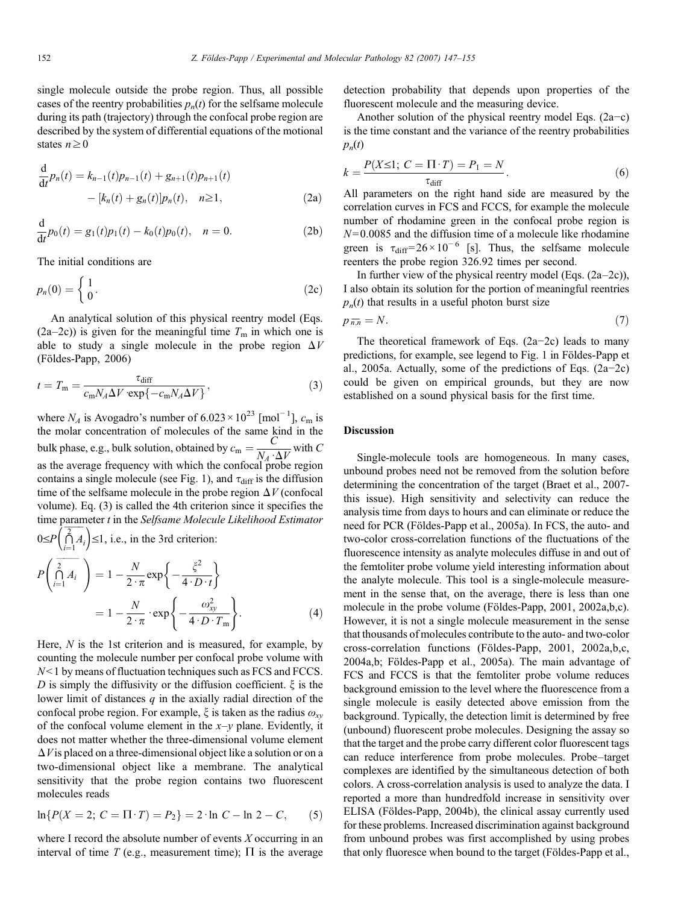single molecule outside the probe region. Thus, all possible cases of the reentry probabilities  $p_n(t)$  for the selfsame molecule during its path (trajectory) through the confocal probe region are described by the system of differential equations of the motional states  $n \geq 0$ 

$$
\frac{d}{dt}p_n(t) = k_{n-1}(t)p_{n-1}(t) + g_{n+1}(t)p_{n+1}(t) - [k_n(t) + g_n(t)]p_n(t), \quad n \ge 1,
$$
\n(2a)

$$
\frac{d}{dt}p_0(t) = g_1(t)p_1(t) - k_0(t)p_0(t), \quad n = 0.
$$
 (2b)

The initial conditions are

$$
p_n(0) = \begin{cases} 1 & (2c) \end{cases}
$$

An analytical solution of this physical reentry model (Eqs. (2a–2c)) is given for the meaningful time  $T<sub>m</sub>$  in which one is able to study a single molecule in the probe region  $\Delta V$ (Földes-Papp, 2006)

$$
t = T_{\rm m} = \frac{\tau_{\rm diff}}{c_{\rm m} N_A \Delta V \exp\{-c_{\rm m} N_A \Delta V\}},\tag{3}
$$

where  $N_A$  is Avogadro's number of 6.023 × 10<sup>23</sup> [mol<sup>-1</sup>],  $c_m$  is the molar concentration of molecules of the same kind in the bulk phase, e.g., bulk solution, obtained by  $c_m = \frac{C}{N_A \cdot \Delta V}$  with C as the average frequency with which the confocal probe region contains a single molecule (see Fig. 1), and  $\tau_{\text{diff}}$  is the diffusion time of the selfsame molecule in the probe region  $\Delta V$  (confocal volume). Eq. (3) is called the 4th criterion since it specifies the time parameter  $t$  in the *Selfsame Molecule Likelihood Estimator*  $0 \leq P \left( \bigcap_{i=1}^{2}$  $\frac{i-1}{1}$  $A_i$   $\leq$  1, i.e., in the 3rd criterion:  $P\left(\begin{array}{c}2\ \cap \end{array}\right)$  $\frac{i-1}{1}$  $A_i$  $\left(\bigcap_{i=1}^{\infty} A_i\right) = 1 - \frac{N}{2 \cdot \pi} \exp\left\{-\frac{\xi^2}{4 \cdot D \cdot t}\right\}$  $\int \xi^2$  $= 1 - \frac{N}{2 \cdot \pi} \cdot \exp \left\{ - \frac{\omega_{xy}^2}{4 \cdot D \cdot T_{\text{m}}} \right\}.$  (4)

Here, N is the 1st criterion and is measured, for example, by counting the molecule number per confocal probe volume with N< 1 by means of fluctuation techniques such as FCS and FCCS. D is simply the diffusivity or the diffusion coefficient.  $\xi$  is the lower limit of distances  $q$  in the axially radial direction of the confocal probe region. For example,  $\xi$  is taken as the radius  $\omega_{xy}$ of the confocal volume element in the  $x-y$  plane. Evidently, it does not matter whether the three-dimensional volume element  $\Delta V$  is placed on a three-dimensional object like a solution or on a two-dimensional object like a membrane. The analytical sensitivity that the probe region contains two fluorescent molecules reads

$$
\ln\{P(X=2; C=\Pi \cdot T) = P_2\} = 2 \cdot \ln C - \ln 2 - C,\qquad (5)
$$

where I record the absolute number of events  $X$  occurring in an interval of time T (e.g., measurement time);  $\Pi$  is the average detection probability that depends upon properties of the fluorescent molecule and the measuring device.

Another solution of the physical reentry model Eqs. (2a−c) is the time constant and the variance of the reentry probabilities  $p_n(t)$ 

$$
k = \frac{P(X \le 1; C = \Pi \cdot T) = P_1 = N}{\tau_{\text{diff}}}.
$$
\n
$$
(6)
$$

All parameters on the right hand side are measured by the correlation curves in FCS and FCCS, for example the molecule number of rhodamine green in the confocal probe region is  $N= 0.0085$  and the diffusion time of a molecule like rhodamine green is  $\tau_{\text{diff}}= 26 \times 10^{-6}$  [s]. Thus, the selfsame molecule reenters the probe region 326.92 times per second.

In further view of the physical reentry model (Eqs.  $(2a-2c)$ ), I also obtain its solution for the portion of meaningful reentries  $p_n(t)$  that results in a useful photon burst size

$$
p_{\overline{n},n} = N. \tag{7}
$$

The theoretical framework of Eqs. (2a−2c) leads to many predictions, for example, see legend to Fig. 1 in Földes-Papp et al., 2005a. Actually, some of the predictions of Eqs. (2a−2c) could be given on empirical grounds, but they are now established on a sound physical basis for the first time.

## Discussion

Single-molecule tools are homogeneous. In many cases, unbound probes need not be removed from the solution before determining the concentration of the target (Braet et al., 2007 this issue). High sensitivity and selectivity can reduce the analysis time from days to hours and can eliminate or reduce the need for PCR (Földes-Papp et al., 2005a). In FCS, the auto- and two-color cross-correlation functions of the fluctuations of the fluorescence intensity as analyte molecules diffuse in and out of the femtoliter probe volume yield interesting information about the analyte molecule. This tool is a single-molecule measurement in the sense that, on the average, there is less than one molecule in the probe volume (Földes-Papp, 2001, 2002a,b,c). However, it is not a single molecule measurement in the sense that thousands of molecules contribute to the auto- and two-color cross-correlation functions (Földes-Papp, 2001, 2002a,b,c, 2004a,b; Földes-Papp et al., 2005a). The main advantage of FCS and FCCS is that the femtoliter probe volume reduces background emission to the level where the fluorescence from a single molecule is easily detected above emission from the background. Typically, the detection limit is determined by free (unbound) fluorescent probe molecules. Designing the assay so that the target and the probe carry different color fluorescent tags can reduce interference from probe molecules. Probe–target complexes are identified by the simultaneous detection of both colors. A cross-correlation analysis is used to analyze the data. I reported a more than hundredfold increase in sensitivity over ELISA (Földes-Papp, 2004b), the clinical assay currently used for these problems. Increased discrimination against background from unbound probes was first accomplished by using probes that only fluoresce when bound to the target (Földes-Papp et al.,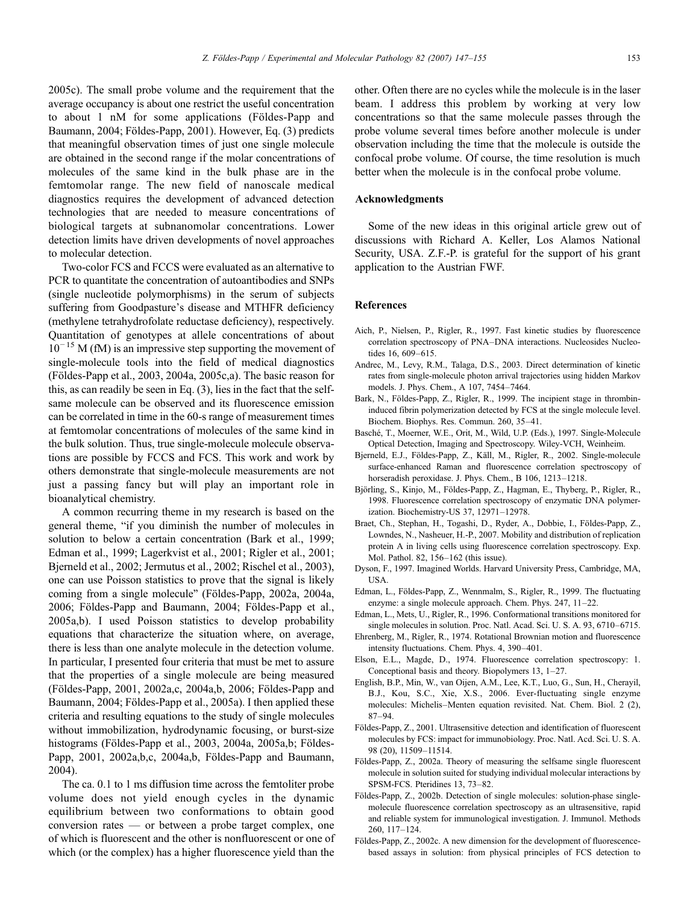2005c). The small probe volume and the requirement that the average occupancy is about one restrict the useful concentration to about 1 nM for some applications (Földes-Papp and Baumann, 2004; Földes-Papp, 2001). However, Eq. (3) predicts that meaningful observation times of just one single molecule are obtained in the second range if the molar concentrations of molecules of the same kind in the bulk phase are in the femtomolar range. The new field of nanoscale medical diagnostics requires the development of advanced detection technologies that are needed to measure concentrations of biological targets at subnanomolar concentrations. Lower detection limits have driven developments of novel approaches

to molecular detection.

Two-color FCS and FCCS were evaluated as an alternative to PCR to quantitate the concentration of autoantibodies and SNPs (single nucleotide polymorphisms) in the serum of subjects suffering from Goodpasture's disease and MTHFR deficiency (methylene tetrahydrofolate reductase deficiency), respectively. Quantitation of genotypes at allele concentrations of about  $10^{-15}$  M (fM) is an impressive step supporting the movement of single-molecule tools into the field of medical diagnostics (Földes-Papp et al., 2003, 2004a, 2005c,a). The basic reason for this, as can readily be seen in Eq. (3), lies in the fact that the selfsame molecule can be observed and its fluorescence emission can be correlated in time in the 60-s range of measurement times at femtomolar concentrations of molecules of the same kind in the bulk solution. Thus, true single-molecule molecule observations are possible by FCCS and FCS. This work and work by others demonstrate that single-molecule measurements are not just a passing fancy but will play an important role in bioanalytical chemistry.

A common recurring theme in my research is based on the general theme, "if you diminish the number of molecules in solution to below a certain concentration (Bark et al., 1999; Edman et al., 1999; Lagerkvist et al., 2001; Rigler et al., 2001; Bjerneld et al., 2002; Jermutus et al., 2002; Rischel et al., 2003), one can use Poisson statistics to prove that the signal is likely coming from a single molecule" (Földes-Papp, 2002a, 2004a, 2006; Földes-Papp and Baumann, 2004; Földes-Papp et al., 2005a,b). I used Poisson statistics to develop probability equations that characterize the situation where, on average, there is less than one analyte molecule in the detection volume. In particular, I presented four criteria that must be met to assure that the properties of a single molecule are being measured (Földes-Papp, 2001, 2002a,c, 2004a,b, 2006; Földes-Papp and Baumann, 2004; Földes-Papp et al., 2005a). I then applied these criteria and resulting equations to the study of single molecules without immobilization, hydrodynamic focusing, or burst-size histograms (Földes-Papp et al., 2003, 2004a, 2005a,b; Földes-Papp, 2001, 2002a,b,c, 2004a,b, Földes-Papp and Baumann, 2004).

The ca. 0.1 to 1 ms diffusion time across the femtoliter probe volume does not yield enough cycles in the dynamic equilibrium between two conformations to obtain good conversion rates — or between a probe target complex, one of which is fluorescent and the other is nonfluorescent or one of which (or the complex) has a higher fluorescence yield than the

other. Often there are no cycles while the molecule is in the laser beam. I address this problem by working at very low concentrations so that the same molecule passes through the probe volume several times before another molecule is under observation including the time that the molecule is outside the confocal probe volume. Of course, the time resolution is much better when the molecule is in the confocal probe volume.

#### Acknowledgments

Some of the new ideas in this original article grew out of discussions with Richard A. Keller, Los Alamos National Security, USA. Z.F.-P. is grateful for the support of his grant application to the Austrian FWF.

#### References

- Aich, P., Nielsen, P., Rigler, R., 1997. Fast kinetic studies by fluorescence correlation spectroscopy of PNA–DNA interactions. Nucleosides Nucleotides 16, 609–615.
- Andrec, M., Levy, R.M., Talaga, D.S., 2003. Direct determination of kinetic rates from single-molecule photon arrival trajectories using hidden Markov models. J. Phys. Chem., A 107, 7454–7464.
- Bark, N., Földes-Papp, Z., Rigler, R., 1999. The incipient stage in thrombininduced fibrin polymerization detected by FCS at the single molecule level. Biochem. Biophys. Res. Commun. 260, 35–41.
- Basché, T., Moerner, W.E., Orit, M., Wild, U.P. (Eds.), 1997. Single-Molecule Optical Detection, Imaging and Spectroscopy. Wiley-VCH, Weinheim.
- Bjerneld, E.J., Földes-Papp, Z., Käll, M., Rigler, R., 2002. Single-molecule surface-enhanced Raman and fluorescence correlation spectroscopy of horseradish peroxidase. J. Phys. Chem., B 106, 1213–1218.
- Björling, S., Kinjo, M., Földes-Papp, Z., Hagman, E., Thyberg, P., Rigler, R., 1998. Fluorescence correlation spectroscopy of enzymatic DNA polymerization. Biochemistry-US 37, 12971–12978.
- Braet, Ch., Stephan, H., Togashi, D., Ryder, A., Dobbie, I., Földes-Papp, Z., Lowndes, N., Nasheuer, H.-P., 2007. Mobility and distribution of replication protein A in living cells using fluorescence correlation spectroscopy. Exp. Mol. Pathol. 82, 156–162 (this issue).
- Dyson, F., 1997. Imagined Worlds. Harvard University Press, Cambridge, MA, USA.
- Edman, L., Földes-Papp, Z., Wennmalm, S., Rigler, R., 1999. The fluctuating enzyme: a single molecule approach. Chem. Phys. 247, 11–22.
- Edman, L., Mets, U., Rigler, R., 1996. Conformational transitions monitored for single molecules in solution. Proc. Natl. Acad. Sci. U. S. A. 93, 6710–6715.
- Ehrenberg, M., Rigler, R., 1974. Rotational Brownian motion and fluorescence intensity fluctuations. Chem. Phys. 4, 390–401.
- Elson, E.L., Magde, D., 1974. Fluorescence correlation spectroscopy: 1. Conceptional basis and theory. Biopolymers 13, 1–27.
- English, B.P., Min, W., van Oijen, A.M., Lee, K.T., Luo, G., Sun, H., Cherayil, B.J., Kou, S.C., Xie, X.S., 2006. Ever-fluctuating single enzyme molecules: Michelis–Menten equation revisited. Nat. Chem. Biol. 2 (2), 87–94.
- Földes-Papp, Z., 2001. Ultrasensitive detection and identification of fluorescent molecules by FCS: impact for immunobiology. Proc. Natl. Acd. Sci. U. S. A. 98 (20), 11509–11514.
- Földes-Papp, Z., 2002a. Theory of measuring the selfsame single fluorescent molecule in solution suited for studying individual molecular interactions by SPSM-FCS. Pteridines 13, 73–82.
- Földes-Papp, Z., 2002b. Detection of single molecules: solution-phase singlemolecule fluorescence correlation spectroscopy as an ultrasensitive, rapid and reliable system for immunological investigation. J. Immunol. Methods 260, 117–124.
- Földes-Papp, Z., 2002c. A new dimension for the development of fluorescencebased assays in solution: from physical principles of FCS detection to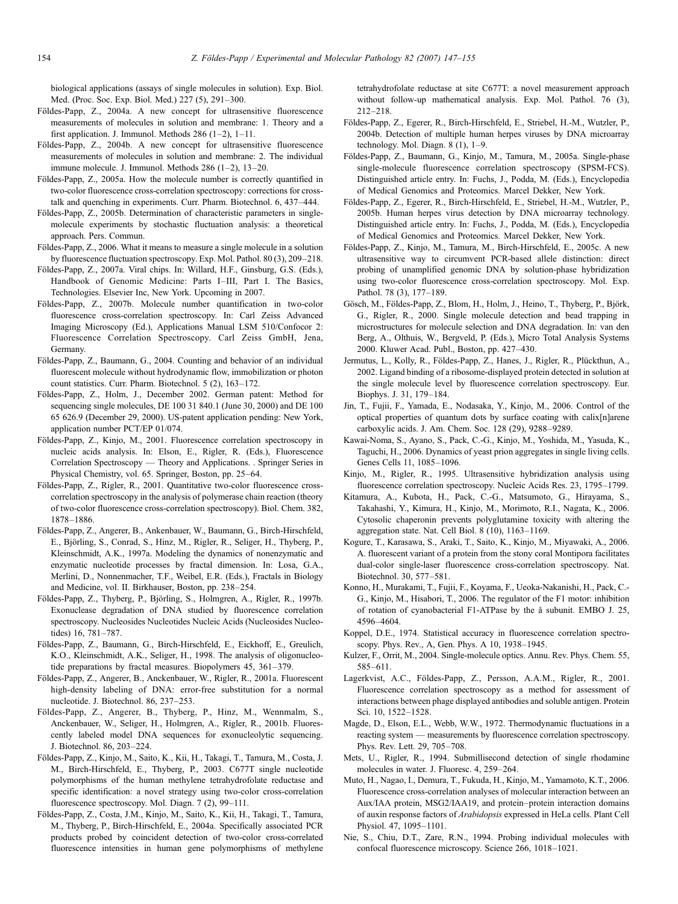biological applications (assays of single molecules in solution). Exp. Biol. Med. (Proc. Soc. Exp. Biol. Med.) 227 (5), 291–300.

- Földes-Papp, Z., 2004a. A new concept for ultrasensitive fluorescence measurements of molecules in solution and membrane: 1. Theory and a first application. J. Immunol. Methods 286  $(1-2)$ ,  $1-11$ .
- Földes-Papp, Z., 2004b. A new concept for ultrasensitive fluorescence measurements of molecules in solution and membrane: 2. The individual immune molecule. J. Immunol. Methods 286 (1–2), 13–20.
- Földes-Papp, Z., 2005a. How the molecule number is correctly quantified in two-color fluorescence cross-correlation spectroscopy: corrections for crosstalk and quenching in experiments. Curr. Pharm. Biotechnol. 6, 437–444.
- Földes-Papp, Z., 2005b. Determination of characteristic parameters in singlemolecule experiments by stochastic fluctuation analysis: a theoretical approach. Pers. Commun.
- Földes-Papp, Z., 2006. What it means to measure a single molecule in a solution by fluorescence fluctuation spectroscopy. Exp. Mol. Pathol. 80 (3), 209–218.
- Földes-Papp, Z., 2007a. Viral chips. In: Willard, H.F., Ginsburg, G.S. (Eds.), Handbook of Genomic Medicine: Parts I–III, Part I. The Basics, Technologies. Elsevier Inc, New York. Upcoming in 2007.
- Földes-Papp, Z., 2007b. Molecule number quantification in two-color fluorescence cross-correlation spectroscopy. In: Carl Zeiss Advanced Imaging Microscopy (Ed.), Applications Manual LSM 510/Confocor 2: Fluorescence Correlation Spectroscopy. Carl Zeiss GmbH, Jena, Germany.
- Földes-Papp, Z., Baumann, G., 2004. Counting and behavior of an individual fluorescent molecule without hydrodynamic flow, immobilization or photon count statistics. Curr. Pharm. Biotechnol. 5 (2), 163–172.
- Földes-Papp, Z., Holm, J., December 2002. German patent: Method for sequencing single molecules, DE 100 31 840.1 (June 30, 2000) and DE 100 65 626.9 (December 29, 2000). US-patent application pending: New York, application number PCT/EP 01/074.
- Földes-Papp, Z., Kinjo, M., 2001. Fluorescence correlation spectroscopy in nucleic acids analysis. In: Elson, E., Rigler, R. (Eds.), Fluorescence Correlation Spectroscopy — Theory and Applications. . Springer Series in Physical Chemistry, vol. 65. Springer, Boston, pp. 25–64.
- Földes-Papp, Z., Rigler, R., 2001. Quantitative two-color fluorescence crosscorrelation spectroscopy in the analysis of polymerase chain reaction (theory of two-color fluorescence cross-correlation spectroscopy). Biol. Chem. 382, 1878–1886.
- Földes-Papp, Z., Angerer, B., Ankenbauer, W., Baumann, G., Birch-Hirschfeld, E., Björling, S., Conrad, S., Hinz, M., Rigler, R., Seliger, H., Thyberg, P., Kleinschmidt, A.K., 1997a. Modeling the dynamics of nonenzymatic and enzymatic nucleotide processes by fractal dimension. In: Losa, G.A., Merlini, D., Nonnenmacher, T.F., Weibel, E.R. (Eds.), Fractals in Biology and Medicine, vol. II. Birkhauser, Boston, pp. 238–254.
- Földes-Papp, Z., Thyberg, P., Björling, S., Holmgren, A., Rigler, R., 1997b. Exonuclease degradation of DNA studied by fluorescence correlation spectroscopy. Nucleosides Nucleotides Nucleic Acids (Nucleosides Nucleotides) 16, 781–787.
- Földes-Papp, Z., Baumann, G., Birch-Hirschfeld, E., Eickhoff, E., Greulich, K.O., Kleinschmidt, A.K., Seliger, H., 1998. The analysis of oligonucleotide preparations by fractal measures. Biopolymers 45, 361–379.
- Földes-Papp, Z., Angerer, B., Anckenbauer, W., Rigler, R., 2001a. Fluorescent high-density labeling of DNA: error-free substitution for a normal nucleotide. J. Biotechnol. 86, 237–253.
- Földes-Papp, Z., Angerer, B., Thyberg, P., Hinz, M., Wennmalm, S., Anckenbauer, W., Seliger, H., Holmgren, A., Rigler, R., 2001b. Fluorescently labeled model DNA sequences for exonucleolytic sequencing. J. Biotechnol. 86, 203–224.
- Földes-Papp, Z., Kinjo, M., Saito, K., Kii, H., Takagi, T., Tamura, M., Costa, J. M., Birch-Hirschfeld, E., Thyberg, P., 2003. C677T single nucleotide polymorphisms of the human methylene tetrahydrofolate reductase and specific identification: a novel strategy using two-color cross-correlation fluorescence spectroscopy. Mol. Diagn. 7 (2), 99–111.
- Földes-Papp, Z., Costa, J.M., Kinjo, M., Saito, K., Kii, H., Takagi, T., Tamura, M., Thyberg, P., Birch-Hirschfeld, E., 2004a. Specifically associated PCR products probed by coincident detection of two-color cross-correlated fluorescence intensities in human gene polymorphisms of methylene

tetrahydrofolate reductase at site C677T: a novel measurement approach without follow-up mathematical analysis. Exp. Mol. Pathol. 76 (3), 212–218.

- Földes-Papp, Z., Egerer, R., Birch-Hirschfeld, E., Striebel, H.-M., Wutzler, P., 2004b. Detection of multiple human herpes viruses by DNA microarray technology. Mol. Diagn. 8 (1), 1–9.
- Földes-Papp, Z., Baumann, G., Kinjo, M., Tamura, M., 2005a. Single-phase single-molecule fluorescence correlation spectroscopy (SPSM-FCS). Distinguished article entry. In: Fuchs, J., Podda, M. (Eds.), Encyclopedia of Medical Genomics and Proteomics. Marcel Dekker, New York.
- Földes-Papp, Z., Egerer, R., Birch-Hirschfeld, E., Striebel, H.-M., Wutzler, P., 2005b. Human herpes virus detection by DNA microarray technology. Distinguished article entry. In: Fuchs, J., Podda, M. (Eds.), Encyclopedia of Medical Genomics and Proteomics. Marcel Dekker, New York.
- Földes-Papp, Z., Kinjo, M., Tamura, M., Birch-Hirschfeld, E., 2005c. A new ultrasensitive way to circumvent PCR-based allele distinction: direct probing of unamplified genomic DNA by solution-phase hybridization using two-color fluorescence cross-correlation spectroscopy. Mol. Exp. Pathol. 78 (3), 177–189.
- Gösch, M., Földes-Papp, Z., Blom, H., Holm, J., Heino, T., Thyberg, P., Björk, G., Rigler, R., 2000. Single molecule detection and bead trapping in microstructures for molecule selection and DNA degradation. In: van den Berg, A., Olthuis, W., Bergveld, P. (Eds.), Micro Total Analysis Systems 2000. Kluwer Acad. Publ., Boston, pp. 427–430.
- Jermutus, L., Kolly, R., Földes-Papp, Z., Hanes, J., Rigler, R., Plückthun, A., 2002. Ligand binding of a ribosome-displayed protein detected in solution at the single molecule level by fluorescence correlation spectroscopy. Eur. Biophys. J. 31, 179–184.
- Jin, T., Fujii, F., Yamada, E., Nodasaka, Y., Kinjo, M., 2006. Control of the optical properties of quantum dots by surface coating with calix[n]arene carboxylic acids. J. Am. Chem. Soc. 128 (29), 9288–9289.
- Kawai-Noma, S., Ayano, S., Pack, C.-G., Kinjo, M., Yoshida, M., Yasuda, K., Taguchi, H., 2006. Dynamics of yeast prion aggregates in single living cells. Genes Cells 11, 1085–1096.
- Kinjo, M., Rigler, R., 1995. Ultrasensitive hybridization analysis using fluorescence correlation spectroscopy. Nucleic Acids Res. 23, 1795–1799.
- Kitamura, A., Kubota, H., Pack, C.-G., Matsumoto, G., Hirayama, S., Takahashi, Y., Kimura, H., Kinjo, M., Morimoto, R.I., Nagata, K., 2006. Cytosolic chaperonin prevents polyglutamine toxicity with altering the aggregation state. Nat. Cell Biol. 8 (10), 1163–1169.
- Kogure, T., Karasawa, S., Araki, T., Saito, K., Kinjo, M., Miyawaki, A., 2006. A. fluorescent variant of a protein from the stony coral Montipora facilitates dual-color single-laser fluorescence cross-correlation spectroscopy. Nat. Biotechnol. 30, 577–581.
- Konno, H., Murakami, T., Fujii, F., Koyama, F., Ueoka-Nakanishi, H., Pack, C.- G., Kinjo, M., Hisabori, T., 2006. The regulator of the F1 motor: inhibition of rotation of cyanobacterial F1-ATPase by the å subunit. EMBO J. 25, 4596–4604.
- Koppel, D.E., 1974. Statistical accuracy in fluorescence correlation spectroscopy. Phys. Rev., A, Gen. Phys. A 10, 1938–1945.
- Kulzer, F., Orrit, M., 2004. Single-molecule optics. Annu. Rev. Phys. Chem. 55, 585–611.
- Lagerkvist, A.C., Földes-Papp, Z., Persson, A.A.M., Rigler, R., 2001. Fluorescence correlation spectroscopy as a method for assessment of interactions between phage displayed antibodies and soluble antigen. Protein Sci. 10, 1522–1528.
- Magde, D., Elson, E.L., Webb, W.W., 1972. Thermodynamic fluctuations in a reacting system — measurements by fluorescence correlation spectroscopy. Phys. Rev. Lett. 29, 705–708.
- Mets, U., Rigler, R., 1994. Submillisecond detection of single rhodamine molecules in water. J. Fluoresc. 4, 259–264.
- Muto, H., Nagao, I., Demura, T., Fukuda, H., Kinjo, M., Yamamoto, K.T., 2006. Fluorescence cross-correlation analyses of molecular interaction between an Aux/IAA protein, MSG2/IAA19, and protein–protein interaction domains of auxin response factors of Arabidopsis expressed in HeLa cells. Plant Cell Physiol. 47, 1095–1101.
- Nie, S., Chiu, D.T., Zare, R.N., 1994. Probing individual molecules with confocal fluorescence microscopy. Science 266, 1018–1021.